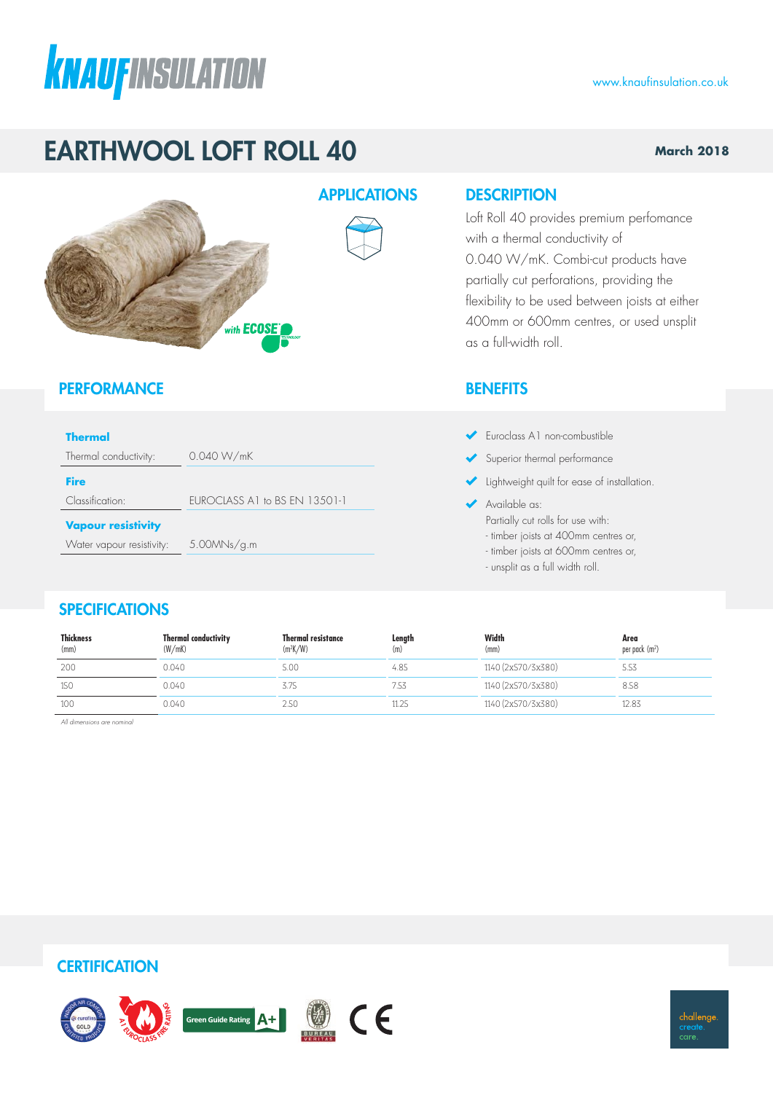# **KNAUFINSULATION**

### www.knaufinsulation.co.uk

**March 2018**

### EARTHWOOL LOFT ROLL 40

### APPLICATIONS DESCRIPTION

Loft Roll 40 provides premium perfomance with a thermal conductivity of 0.040 W/mK. Combi-cut products have partially cut perforations, providing the flexibility to be used between joists at either 400mm or 600mm centres, or used unsplit as a full-width roll.

### **BENEFITS**

- Euroclass A1 non-combustible
- Superior thermal performance
- Iightweight quilt for ease of installation.
- Available as:
	- Partially cut rolls for use with:
	- timber joists at 400mm centres or,
	- timber joists at 600mm centres or,
	- unsplit as a full width roll.

### **SPECIFICATIONS**

**Vapour resistivity**

**PERFORMANCE** 

Thermal conductivity: 0.040 W/mK

Water vapour resistivity: 5.00MNs/g.m

Classification: EUROCLASS A1 to BS EN 13501-1

with **ECOSE** 

**Thermal**

**Fire**

| <b>Thickness</b><br>(mm) | <b>Thermal conductivity</b><br>(W/mK) | <b>Thermal resistance</b><br>$(m^2K/W)$ | Length<br>(m) | Width<br>(mm)      | Area<br>per pack (m <sup>2</sup> ) |
|--------------------------|---------------------------------------|-----------------------------------------|---------------|--------------------|------------------------------------|
| 200                      | 0.040                                 | 5.00                                    | 4.85          | 1140 (2x570/3x380) | 5.53                               |
| 150                      | 0.040                                 | 3.75                                    | 7.53          | 1140 (2x570/3x380) | 8.58                               |
| 100                      | 0.040                                 | 2.5C                                    | II.ZS         | 1140 (2x570/3x380) | 12.83                              |

*All dimensions are nominal*

### **CERTIFICATION**